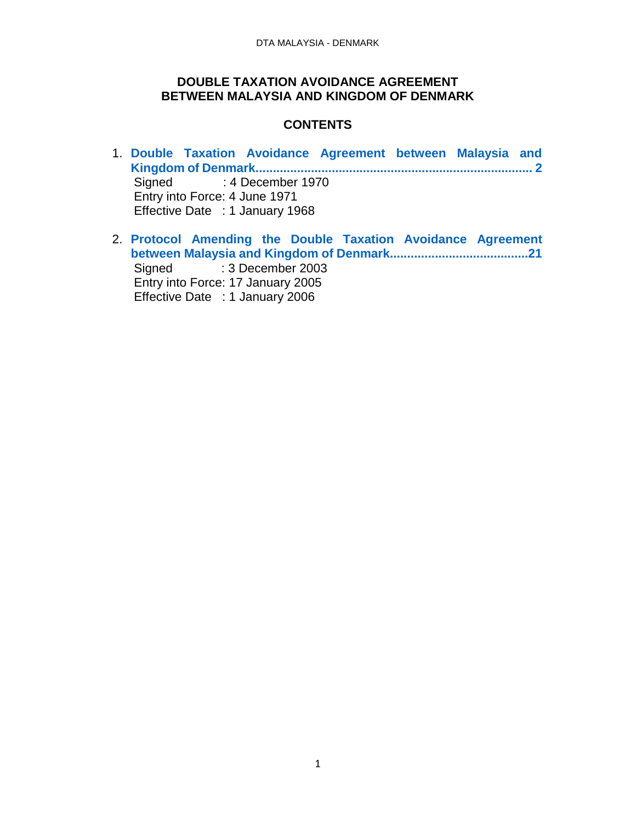#### **DOUBLE TAXATION AVOIDANCE AGREEMENT BETWEEN MALAYSIA AND KINGDOM OF DENMARK**

## **CONTENTS**

- 1. **[Double Taxation Avoidance Agreement between Malaysia and](#page-1-0)  [Kingdom of Denmark................................................................................](#page-1-0) 2** Signed : 4 December 1970 Entry into Force: 4 June 1971 Effective Date : 1 January 1968
- 2. **[Protocol Amending the Double Taxation Avoidance Agreement](#page-20-0)  [between Malaysia and Kingdom of Denmark........................................21](#page-20-0)** Signed : 3 December 2003 Entry into Force: 17 January 2005 Effective Date : 1 January 2006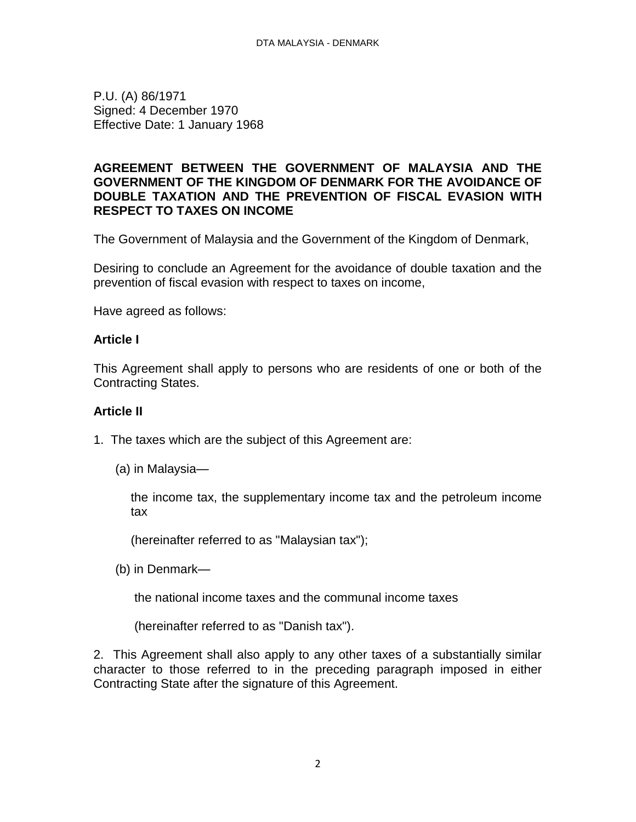<span id="page-1-0"></span>P.U. (A) 86/1971 Signed: 4 December 1970 Effective Date: 1 January 1968

#### **AGREEMENT BETWEEN THE GOVERNMENT OF MALAYSIA AND THE GOVERNMENT OF THE KINGDOM OF DENMARK FOR THE AVOIDANCE OF DOUBLE TAXATION AND THE PREVENTION OF FISCAL EVASION WITH RESPECT TO TAXES ON INCOME**

The Government of Malaysia and the Government of the Kingdom of Denmark,

Desiring to conclude an Agreement for the avoidance of double taxation and the prevention of fiscal evasion with respect to taxes on income,

Have agreed as follows:

#### **Article I**

This Agreement shall apply to persons who are residents of one or both of the Contracting States.

#### **Article II**

- 1. The taxes which are the subject of this Agreement are:
	- (a) in Malaysia—

the income tax, the supplementary income tax and the petroleum income tax

(hereinafter referred to as "Malaysian tax");

(b) in Denmark—

the national income taxes and the communal income taxes

(hereinafter referred to as "Danish tax").

2. This Agreement shall also apply to any other taxes of a substantially similar character to those referred to in the preceding paragraph imposed in either Contracting State after the signature of this Agreement.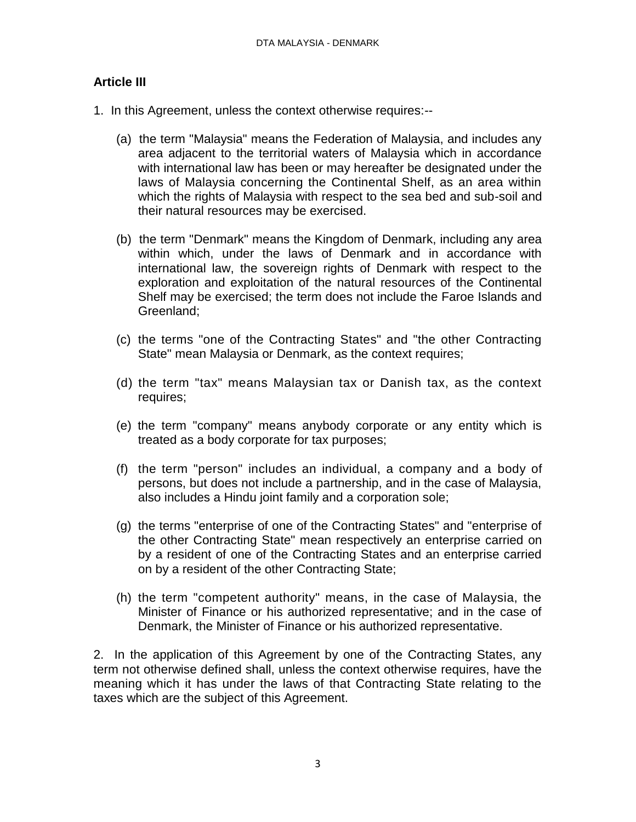## **Article III**

- 1. In this Agreement, unless the context otherwise requires:--
	- (a) the term "Malaysia" means the Federation of Malaysia, and includes any area adjacent to the territorial waters of Malaysia which in accordance with international law has been or may hereafter be designated under the laws of Malaysia concerning the Continental Shelf, as an area within which the rights of Malaysia with respect to the sea bed and sub-soil and their natural resources may be exercised.
	- (b) the term "Denmark" means the Kingdom of Denmark, including any area within which, under the laws of Denmark and in accordance with international law, the sovereign rights of Denmark with respect to the exploration and exploitation of the natural resources of the Continental Shelf may be exercised; the term does not include the Faroe Islands and Greenland;
	- (c) the terms "one of the Contracting States" and "the other Contracting State" mean Malaysia or Denmark, as the context requires;
	- (d) the term "tax" means Malaysian tax or Danish tax, as the context requires;
	- (e) the term "company" means anybody corporate or any entity which is treated as a body corporate for tax purposes;
	- (f) the term "person" includes an individual, a company and a body of persons, but does not include a partnership, and in the case of Malaysia, also includes a Hindu joint family and a corporation sole;
	- (g) the terms "enterprise of one of the Contracting States" and "enterprise of the other Contracting State" mean respectively an enterprise carried on by a resident of one of the Contracting States and an enterprise carried on by a resident of the other Contracting State;
	- (h) the term "competent authority" means, in the case of Malaysia, the Minister of Finance or his authorized representative; and in the case of Denmark, the Minister of Finance or his authorized representative.

2. In the application of this Agreement by one of the Contracting States, any term not otherwise defined shall, unless the context otherwise requires, have the meaning which it has under the laws of that Contracting State relating to the taxes which are the subject of this Agreement.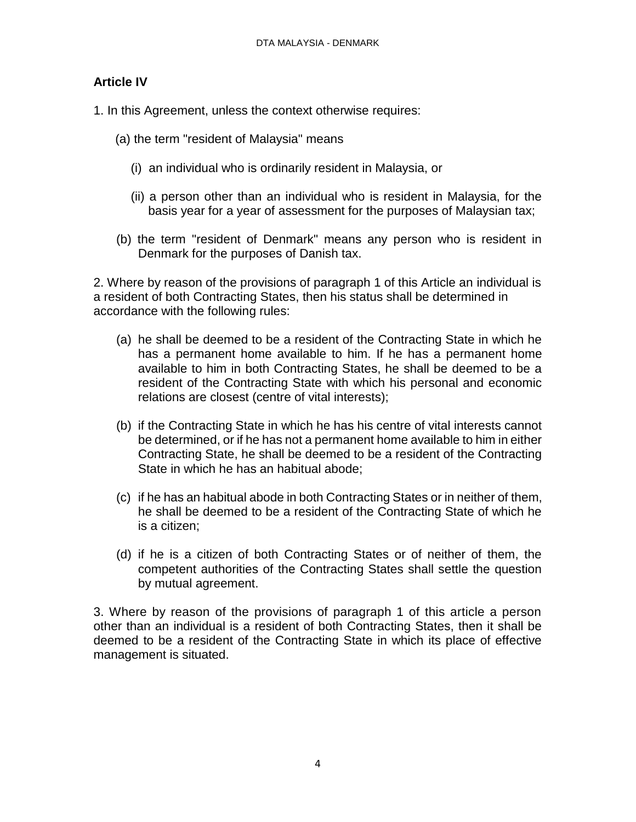## **Article IV**

1. In this Agreement, unless the context otherwise requires:

- (a) the term "resident of Malaysia" means
	- (i) an individual who is ordinarily resident in Malaysia, or
	- (ii) a person other than an individual who is resident in Malaysia, for the basis year for a year of assessment for the purposes of Malaysian tax;
- (b) the term "resident of Denmark" means any person who is resident in Denmark for the purposes of Danish tax.

2. Where by reason of the provisions of paragraph 1 of this Article an individual is a resident of both Contracting States, then his status shall be determined in accordance with the following rules:

- (a) he shall be deemed to be a resident of the Contracting State in which he has a permanent home available to him. If he has a permanent home available to him in both Contracting States, he shall be deemed to be a resident of the Contracting State with which his personal and economic relations are closest (centre of vital interests);
- (b) if the Contracting State in which he has his centre of vital interests cannot be determined, or if he has not a permanent home available to him in either Contracting State, he shall be deemed to be a resident of the Contracting State in which he has an habitual abode;
- (c) if he has an habitual abode in both Contracting States or in neither of them, he shall be deemed to be a resident of the Contracting State of which he is a citizen;
- (d) if he is a citizen of both Contracting States or of neither of them, the competent authorities of the Contracting States shall settle the question by mutual agreement.

3. Where by reason of the provisions of paragraph 1 of this article a person other than an individual is a resident of both Contracting States, then it shall be deemed to be a resident of the Contracting State in which its place of effective management is situated.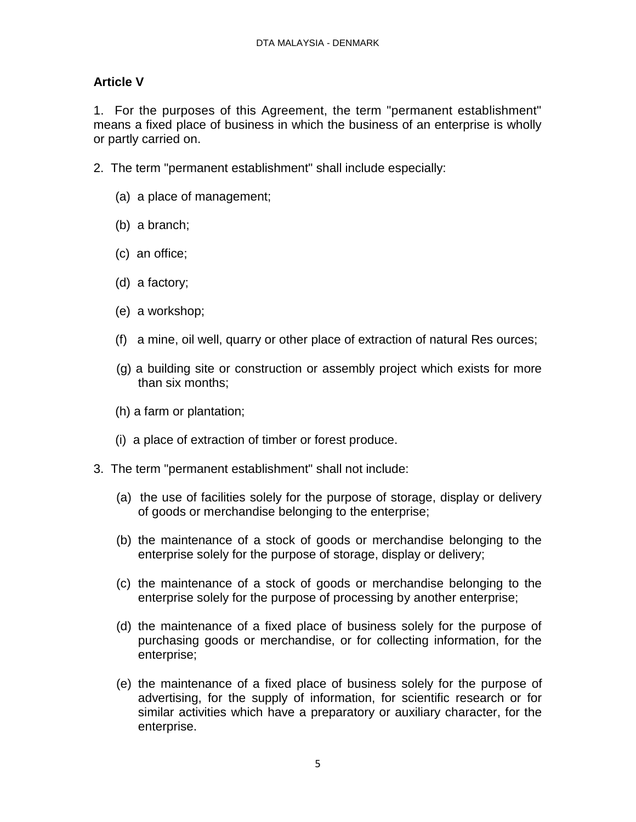# **Article V**

1. For the purposes of this Agreement, the term "permanent establishment" means a fixed place of business in which the business of an enterprise is wholly or partly carried on.

- 2. The term "permanent establishment" shall include especially:
	- (a) a place of management;
	- (b) a branch;
	- (c) an office;
	- (d) a factory;
	- (e) a workshop;
	- (f) a mine, oil well, quarry or other place of extraction of natural Res ources;
	- (g) a building site or construction or assembly project which exists for more than six months;
	- (h) a farm or plantation;
	- (i) a place of extraction of timber or forest produce.
- 3. The term "permanent establishment" shall not include:
	- (a) the use of facilities solely for the purpose of storage, display or delivery of goods or merchandise belonging to the enterprise;
	- (b) the maintenance of a stock of goods or merchandise belonging to the enterprise solely for the purpose of storage, display or delivery;
	- (c) the maintenance of a stock of goods or merchandise belonging to the enterprise solely for the purpose of processing by another enterprise;
	- (d) the maintenance of a fixed place of business solely for the purpose of purchasing goods or merchandise, or for collecting information, for the enterprise;
	- (e) the maintenance of a fixed place of business solely for the purpose of advertising, for the supply of information, for scientific research or for similar activities which have a preparatory or auxiliary character, for the enterprise.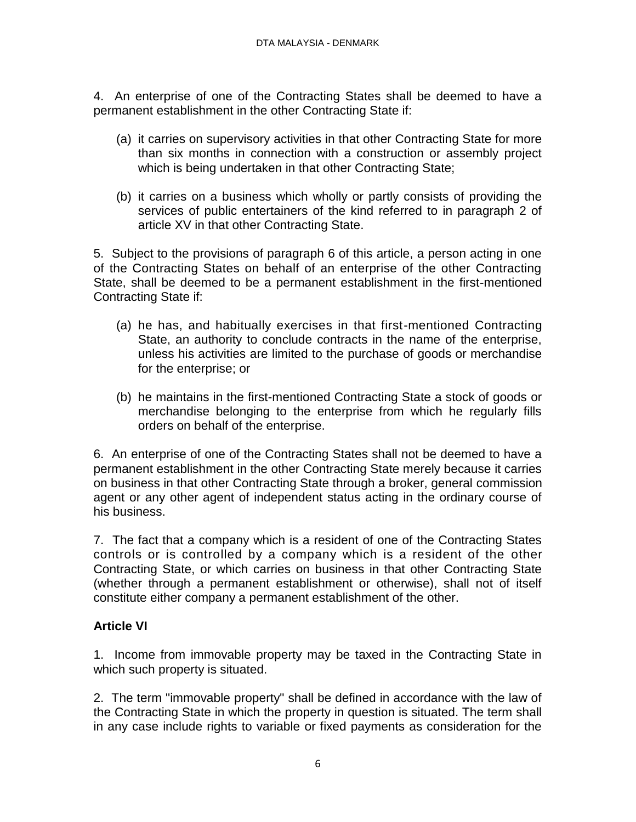4. An enterprise of one of the Contracting States shall be deemed to have a permanent establishment in the other Contracting State if:

- (a) it carries on supervisory activities in that other Contracting State for more than six months in connection with a construction or assembly project which is being undertaken in that other Contracting State;
- (b) it carries on a business which wholly or partly consists of providing the services of public entertainers of the kind referred to in paragraph 2 of article XV in that other Contracting State.

5. Subject to the provisions of paragraph 6 of this article, a person acting in one of the Contracting States on behalf of an enterprise of the other Contracting State, shall be deemed to be a permanent establishment in the first-mentioned Contracting State if:

- (a) he has, and habitually exercises in that first-mentioned Contracting State, an authority to conclude contracts in the name of the enterprise, unless his activities are limited to the purchase of goods or merchandise for the enterprise; or
- (b) he maintains in the first-mentioned Contracting State a stock of goods or merchandise belonging to the enterprise from which he regularly fills orders on behalf of the enterprise.

6. An enterprise of one of the Contracting States shall not be deemed to have a permanent establishment in the other Contracting State merely because it carries on business in that other Contracting State through a broker, general commission agent or any other agent of independent status acting in the ordinary course of his business.

7. The fact that a company which is a resident of one of the Contracting States controls or is controlled by a company which is a resident of the other Contracting State, or which carries on business in that other Contracting State (whether through a permanent establishment or otherwise), shall not of itself constitute either company a permanent establishment of the other.

## **Article VI**

1. Income from immovable property may be taxed in the Contracting State in which such property is situated.

2. The term "immovable property" shall be defined in accordance with the law of the Contracting State in which the property in question is situated. The term shall in any case include rights to variable or fixed payments as consideration for the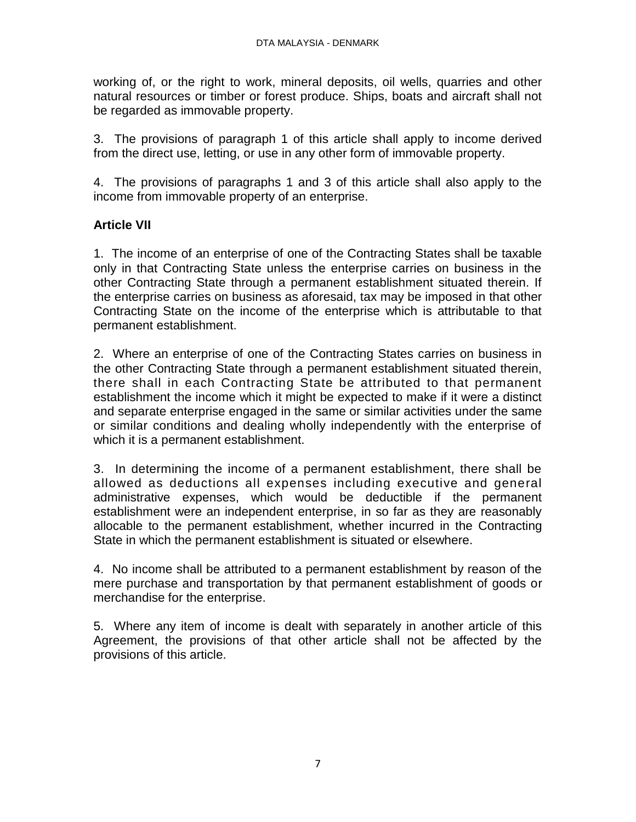working of, or the right to work, mineral deposits, oil wells, quarries and other natural resources or timber or forest produce. Ships, boats and aircraft shall not be regarded as immovable property.

3. The provisions of paragraph 1 of this article shall apply to income derived from the direct use, letting, or use in any other form of immovable property.

4. The provisions of paragraphs 1 and 3 of this article shall also apply to the income from immovable property of an enterprise.

# **Article VII**

1. The income of an enterprise of one of the Contracting States shall be taxable only in that Contracting State unless the enterprise carries on business in the other Contracting State through a permanent establishment situated therein. If the enterprise carries on business as aforesaid, tax may be imposed in that other Contracting State on the income of the enterprise which is attributable to that permanent establishment.

2. Where an enterprise of one of the Contracting States carries on business in the other Contracting State through a permanent establishment situated therein, there shall in each Contracting State be attributed to that permanent establishment the income which it might be expected to make if it were a distinct and separate enterprise engaged in the same or similar activities under the same or similar conditions and dealing wholly independently with the enterprise of which it is a permanent establishment.

3. In determining the income of a permanent establishment, there shall be allowed as deductions all expenses including executive and general administrative expenses, which would be deductible if the permanent establishment were an independent enterprise, in so far as they are reasonably allocable to the permanent establishment, whether incurred in the Contracting State in which the permanent establishment is situated or elsewhere.

4. No income shall be attributed to a permanent establishment by reason of the mere purchase and transportation by that permanent establishment of goods or merchandise for the enterprise.

5. Where any item of income is dealt with separately in another article of this Agreement, the provisions of that other article shall not be affected by the provisions of this article.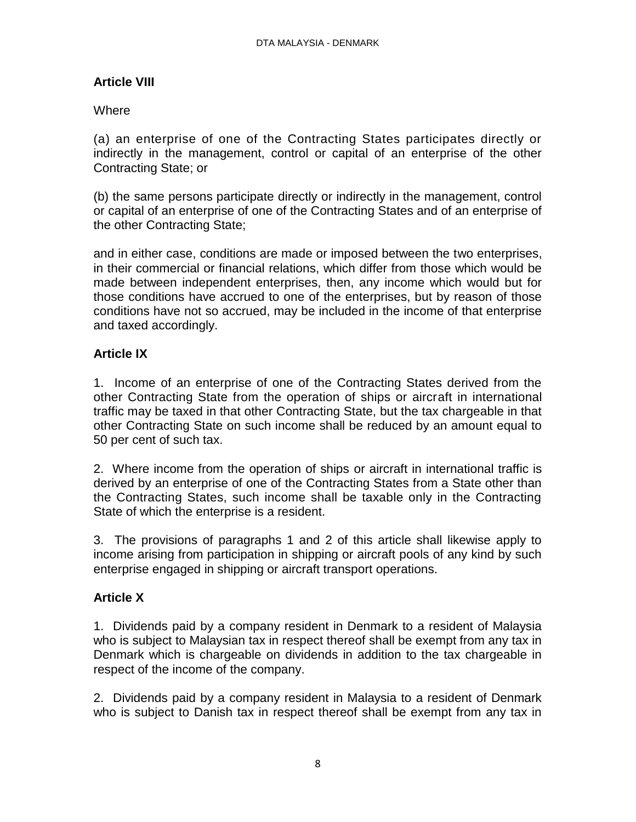# **Article VIII**

## **Where**

(a) an enterprise of one of the Contracting States participates directly or indirectly in the management, control or capital of an enterprise of the other Contracting State; or

(b) the same persons participate directly or indirectly in the management, control or capital of an enterprise of one of the Contracting States and of an enterprise of the other Contracting State;

and in either case, conditions are made or imposed between the two enterprises, in their commercial or financial relations, which differ from those which would be made between independent enterprises, then, any income which would but for those conditions have accrued to one of the enterprises, but by reason of those conditions have not so accrued, may be included in the income of that enterprise and taxed accordingly.

# **Article IX**

1. Income of an enterprise of one of the Contracting States derived from the other Contracting State from the operation of ships or aircraft in international traffic may be taxed in that other Contracting State, but the tax chargeable in that other Contracting State on such income shall be reduced by an amount equal to 50 per cent of such tax.

2. Where income from the operation of ships or aircraft in international traffic is derived by an enterprise of one of the Contracting States from a State other than the Contracting States, such income shall be taxable only in the Contracting State of which the enterprise is a resident.

3. The provisions of paragraphs 1 and 2 of this article shall likewise apply to income arising from participation in shipping or aircraft pools of any kind by such enterprise engaged in shipping or aircraft transport operations.

# **Article X**

1. Dividends paid by a company resident in Denmark to a resident of Malaysia who is subject to Malaysian tax in respect thereof shall be exempt from any tax in Denmark which is chargeable on dividends in addition to the tax chargeable in respect of the income of the company.

2. Dividends paid by a company resident in Malaysia to a resident of Denmark who is subject to Danish tax in respect thereof shall be exempt from any tax in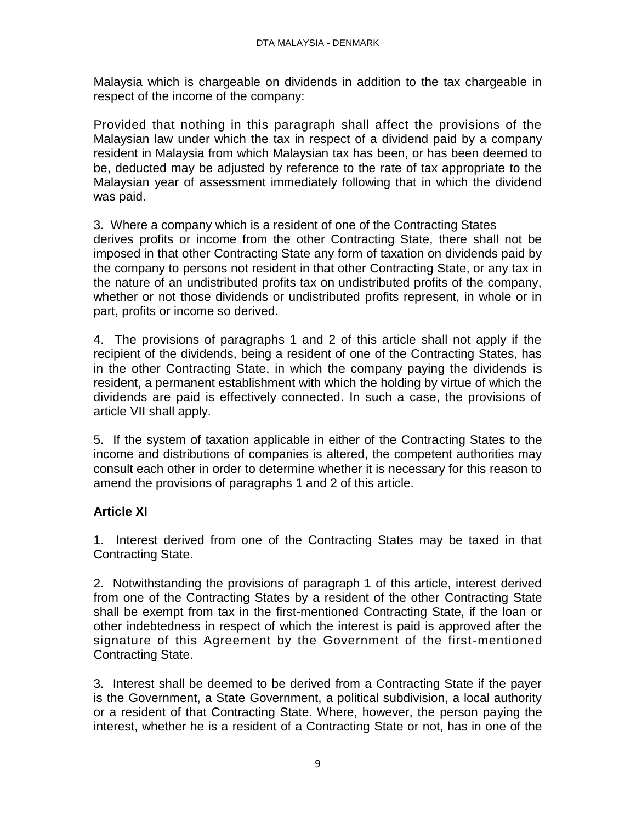Malaysia which is chargeable on dividends in addition to the tax chargeable in respect of the income of the company:

Provided that nothing in this paragraph shall affect the provisions of the Malaysian law under which the tax in respect of a dividend paid by a company resident in Malaysia from which Malaysian tax has been, or has been deemed to be, deducted may be adjusted by reference to the rate of tax appropriate to the Malaysian year of assessment immediately following that in which the dividend was paid.

3. Where a company which is a resident of one of the Contracting States derives profits or income from the other Contracting State, there shall not be imposed in that other Contracting State any form of taxation on dividends paid by the company to persons not resident in that other Contracting State, or any tax in the nature of an undistributed profits tax on undistributed profits of the company, whether or not those dividends or undistributed profits represent, in whole or in part, profits or income so derived.

4. The provisions of paragraphs 1 and 2 of this article shall not apply if the recipient of the dividends, being a resident of one of the Contracting States, has in the other Contracting State, in which the company paying the dividends is resident, a permanent establishment with which the holding by virtue of which the dividends are paid is effectively connected. In such a case, the provisions of article VII shall apply.

5. If the system of taxation applicable in either of the Contracting States to the income and distributions of companies is altered, the competent authorities may consult each other in order to determine whether it is necessary for this reason to amend the provisions of paragraphs 1 and 2 of this article.

# **Article XI**

1. Interest derived from one of the Contracting States may be taxed in that Contracting State.

2. Notwithstanding the provisions of paragraph 1 of this article, interest derived from one of the Contracting States by a resident of the other Contracting State shall be exempt from tax in the first-mentioned Contracting State, if the loan or other indebtedness in respect of which the interest is paid is approved after the signature of this Agreement by the Government of the first-mentioned Contracting State.

3. Interest shall be deemed to be derived from a Contracting State if the payer is the Government, a State Government, a political subdivision, a local authority or a resident of that Contracting State. Where, however, the person paying the interest, whether he is a resident of a Contracting State or not, has in one of the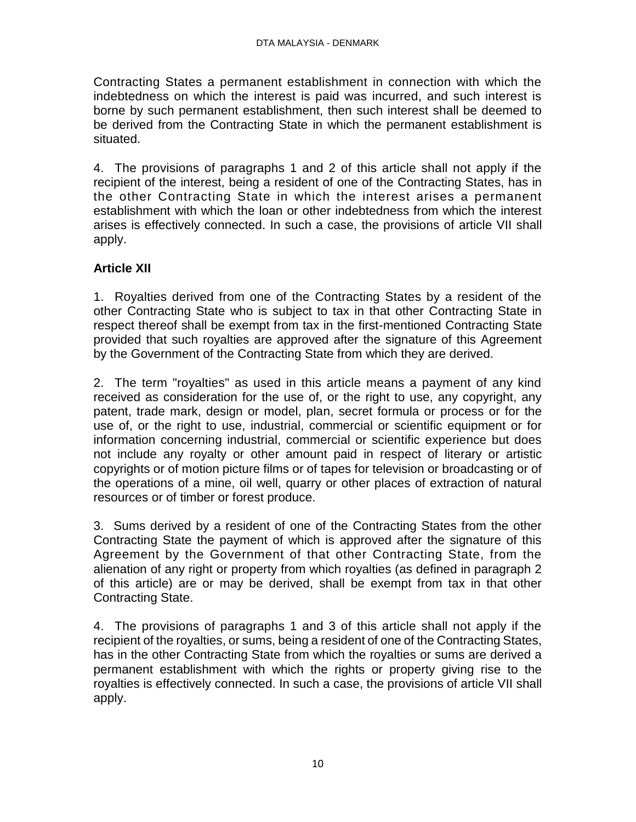Contracting States a permanent establishment in connection with which the indebtedness on which the interest is paid was incurred, and such interest is borne by such permanent establishment, then such interest shall be deemed to be derived from the Contracting State in which the permanent establishment is situated.

4. The provisions of paragraphs 1 and 2 of this article shall not apply if the recipient of the interest, being a resident of one of the Contracting States, has in the other Contracting State in which the interest arises a permanent establishment with which the loan or other indebtedness from which the interest arises is effectively connected. In such a case, the provisions of article VII shall apply.

# **Article XII**

1. Royalties derived from one of the Contracting States by a resident of the other Contracting State who is subject to tax in that other Contracting State in respect thereof shall be exempt from tax in the first-mentioned Contracting State provided that such royalties are approved after the signature of this Agreement by the Government of the Contracting State from which they are derived.

2. The term "royalties" as used in this article means a payment of any kind received as consideration for the use of, or the right to use, any copyright, any patent, trade mark, design or model, plan, secret formula or process or for the use of, or the right to use, industrial, commercial or scientific equipment or for information concerning industrial, commercial or scientific experience but does not include any royalty or other amount paid in respect of literary or artistic copyrights or of motion picture films or of tapes for television or broadcasting or of the operations of a mine, oil well, quarry or other places of extraction of natural resources or of timber or forest produce.

3. Sums derived by a resident of one of the Contracting States from the other Contracting State the payment of which is approved after the signature of this Agreement by the Government of that other Contracting State, from the alienation of any right or property from which royalties (as defined in paragraph 2 of this article) are or may be derived, shall be exempt from tax in that other Contracting State.

4. The provisions of paragraphs 1 and 3 of this article shall not apply if the recipient of the royalties, or sums, being a resident of one of the Contracting States, has in the other Contracting State from which the royalties or sums are derived a permanent establishment with which the rights or property giving rise to the royalties is effectively connected. In such a case, the provisions of article VII shall apply.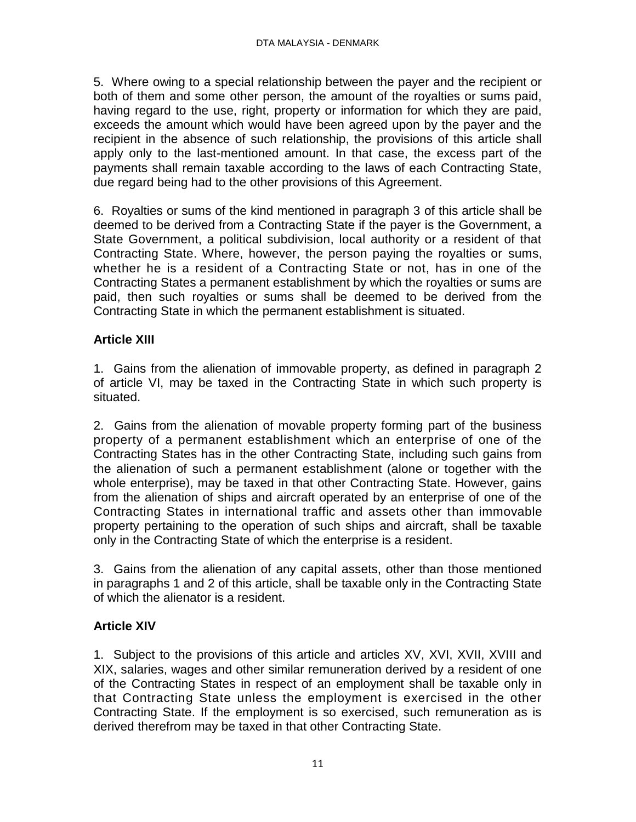5. Where owing to a special relationship between the payer and the recipient or both of them and some other person, the amount of the royalties or sums paid, having regard to the use, right, property or information for which they are paid, exceeds the amount which would have been agreed upon by the payer and the recipient in the absence of such relationship, the provisions of this article shall apply only to the last-mentioned amount. In that case, the excess part of the payments shall remain taxable according to the laws of each Contracting State, due regard being had to the other provisions of this Agreement.

6. Royalties or sums of the kind mentioned in paragraph 3 of this article shall be deemed to be derived from a Contracting State if the payer is the Government, a State Government, a political subdivision, local authority or a resident of that Contracting State. Where, however, the person paying the royalties or sums, whether he is a resident of a Contracting State or not, has in one of the Contracting States a permanent establishment by which the royalties or sums are paid, then such royalties or sums shall be deemed to be derived from the Contracting State in which the permanent establishment is situated.

# **Article XIII**

1. Gains from the alienation of immovable property, as defined in paragraph 2 of article VI, may be taxed in the Contracting State in which such property is situated.

2. Gains from the alienation of movable property forming part of the business property of a permanent establishment which an enterprise of one of the Contracting States has in the other Contracting State, including such gains from the alienation of such a permanent establishment (alone or together with the whole enterprise), may be taxed in that other Contracting State. However, gains from the alienation of ships and aircraft operated by an enterprise of one of the Contracting States in international traffic and assets other than immovable property pertaining to the operation of such ships and aircraft, shall be taxable only in the Contracting State of which the enterprise is a resident.

3. Gains from the alienation of any capital assets, other than those mentioned in paragraphs 1 and 2 of this article, shall be taxable only in the Contracting State of which the alienator is a resident.

## **Article XIV**

1. Subject to the provisions of this article and articles XV, XVI, XVII, XVIII and XIX, salaries, wages and other similar remuneration derived by a resident of one of the Contracting States in respect of an employment shall be taxable only in that Contracting State unless the employment is exercised in the other Contracting State. If the employment is so exercised, such remuneration as is derived therefrom may be taxed in that other Contracting State.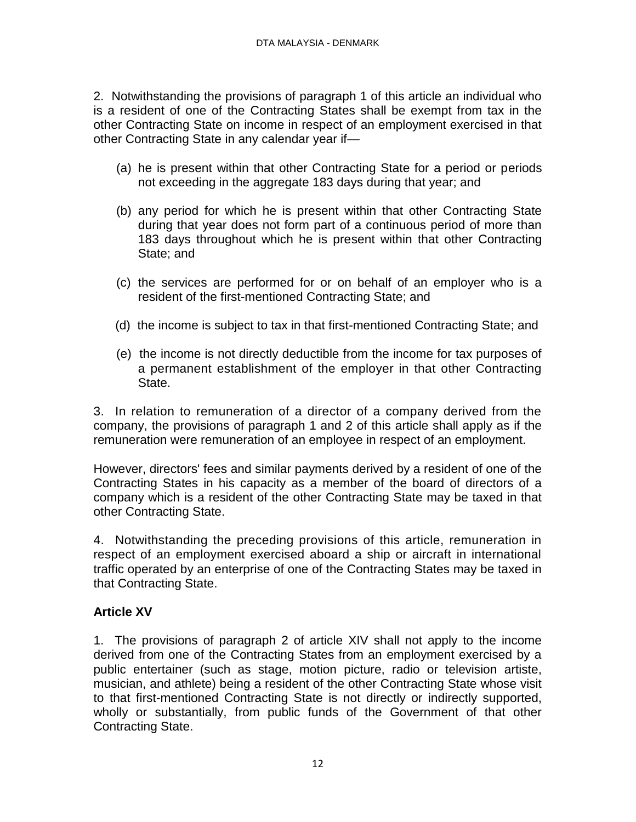2. Notwithstanding the provisions of paragraph 1 of this article an individual who is a resident of one of the Contracting States shall be exempt from tax in the other Contracting State on income in respect of an employment exercised in that other Contracting State in any calendar year if—

- (a) he is present within that other Contracting State for a period or periods not exceeding in the aggregate 183 days during that year; and
- (b) any period for which he is present within that other Contracting State during that year does not form part of a continuous period of more than 183 days throughout which he is present within that other Contracting State; and
- (c) the services are performed for or on behalf of an employer who is a resident of the first-mentioned Contracting State; and
- (d) the income is subject to tax in that first-mentioned Contracting State; and
- (e) the income is not directly deductible from the income for tax purposes of a permanent establishment of the employer in that other Contracting State.

3. In relation to remuneration of a director of a company derived from the company, the provisions of paragraph 1 and 2 of this article shall apply as if the remuneration were remuneration of an employee in respect of an employment.

However, directors' fees and similar payments derived by a resident of one of the Contracting States in his capacity as a member of the board of directors of a company which is a resident of the other Contracting State may be taxed in that other Contracting State.

4. Notwithstanding the preceding provisions of this article, remuneration in respect of an employment exercised aboard a ship or aircraft in international traffic operated by an enterprise of one of the Contracting States may be taxed in that Contracting State.

# **Article XV**

1. The provisions of paragraph 2 of article XIV shall not apply to the income derived from one of the Contracting States from an employment exercised by a public entertainer (such as stage, motion picture, radio or television artiste, musician, and athlete) being a resident of the other Contracting State whose visit to that first-mentioned Contracting State is not directly or indirectly supported, wholly or substantially, from public funds of the Government of that other Contracting State.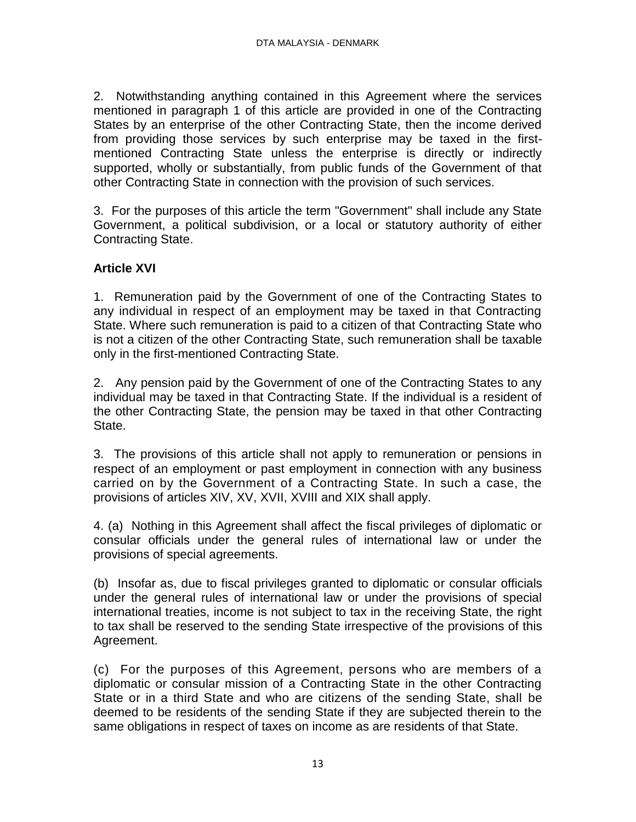2. Notwithstanding anything contained in this Agreement where the services mentioned in paragraph 1 of this article are provided in one of the Contracting States by an enterprise of the other Contracting State, then the income derived from providing those services by such enterprise may be taxed in the firstmentioned Contracting State unless the enterprise is directly or indirectly supported, wholly or substantially, from public funds of the Government of that other Contracting State in connection with the provision of such services.

3. For the purposes of this article the term "Government" shall include any State Government, a political subdivision, or a local or statutory authority of either Contracting State.

# **Article XVI**

1. Remuneration paid by the Government of one of the Contracting States to any individual in respect of an employment may be taxed in that Contracting State. Where such remuneration is paid to a citizen of that Contracting State who is not a citizen of the other Contracting State, such remuneration shall be taxable only in the first-mentioned Contracting State.

2. Any pension paid by the Government of one of the Contracting States to any individual may be taxed in that Contracting State. If the individual is a resident of the other Contracting State, the pension may be taxed in that other Contracting State.

3. The provisions of this article shall not apply to remuneration or pensions in respect of an employment or past employment in connection with any business carried on by the Government of a Contracting State. In such a case, the provisions of articles XIV, XV, XVII, XVIII and XIX shall apply.

4. (a) Nothing in this Agreement shall affect the fiscal privileges of diplomatic or consular officials under the general rules of international law or under the provisions of special agreements.

(b) Insofar as, due to fiscal privileges granted to diplomatic or consular officials under the general rules of international law or under the provisions of special international treaties, income is not subject to tax in the receiving State, the right to tax shall be reserved to the sending State irrespective of the provisions of this Agreement.

(c) For the purposes of this Agreement, persons who are members of a diplomatic or consular mission of a Contracting State in the other Contracting State or in a third State and who are citizens of the sending State, shall be deemed to be residents of the sending State if they are subjected therein to the same obligations in respect of taxes on income as are residents of that State.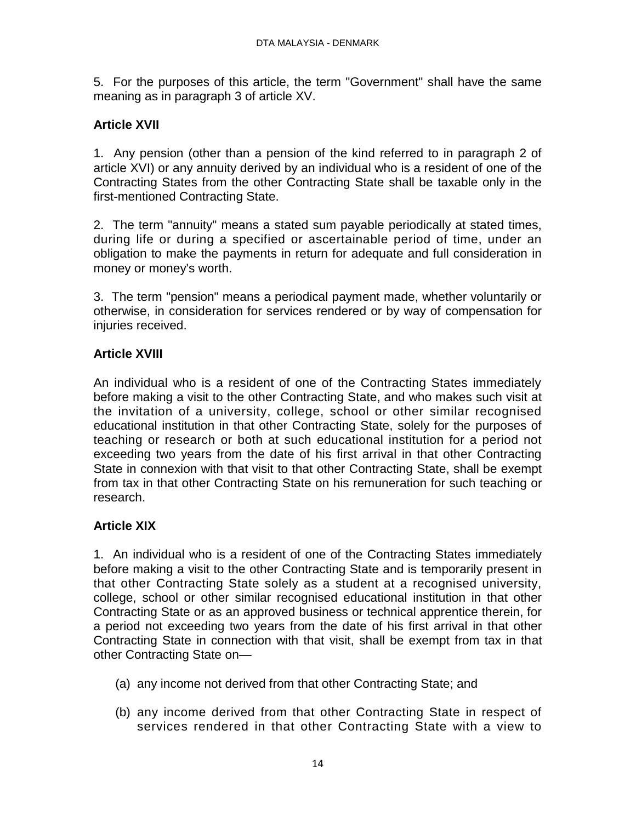5. For the purposes of this article, the term "Government" shall have the same meaning as in paragraph 3 of article XV.

# **Article XVII**

1. Any pension (other than a pension of the kind referred to in paragraph 2 of article XVI) or any annuity derived by an individual who is a resident of one of the Contracting States from the other Contracting State shall be taxable only in the first-mentioned Contracting State.

2. The term "annuity" means a stated sum payable periodically at stated times, during life or during a specified or ascertainable period of time, under an obligation to make the payments in return for adequate and full consideration in money or money's worth.

3. The term "pension" means a periodical payment made, whether voluntarily or otherwise, in consideration for services rendered or by way of compensation for injuries received.

# **Article XVIII**

An individual who is a resident of one of the Contracting States immediately before making a visit to the other Contracting State, and who makes such visit at the invitation of a university, college, school or other similar recognised educational institution in that other Contracting State, solely for the purposes of teaching or research or both at such educational institution for a period not exceeding two years from the date of his first arrival in that other Contracting State in connexion with that visit to that other Contracting State, shall be exempt from tax in that other Contracting State on his remuneration for such teaching or research.

# **Article XIX**

1. An individual who is a resident of one of the Contracting States immediately before making a visit to the other Contracting State and is temporarily present in that other Contracting State solely as a student at a recognised university, college, school or other similar recognised educational institution in that other Contracting State or as an approved business or technical apprentice therein, for a period not exceeding two years from the date of his first arrival in that other Contracting State in connection with that visit, shall be exempt from tax in that other Contracting State on—

- (a) any income not derived from that other Contracting State; and
- (b) any income derived from that other Contracting State in respect of services rendered in that other Contracting State with a view to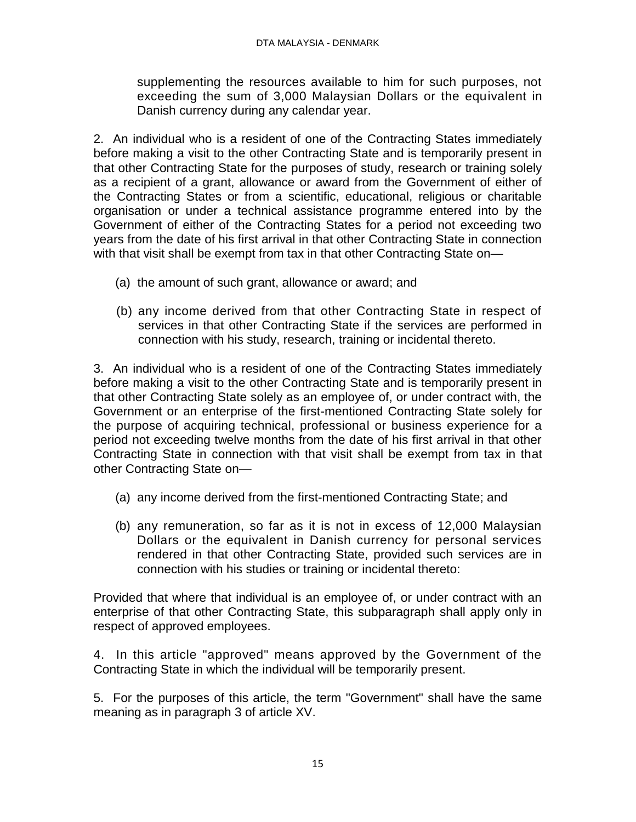supplementing the resources available to him for such purposes, not exceeding the sum of 3,000 Malaysian Dollars or the equivalent in Danish currency during any calendar year.

2. An individual who is a resident of one of the Contracting States immediately before making a visit to the other Contracting State and is temporarily present in that other Contracting State for the purposes of study, research or training solely as a recipient of a grant, allowance or award from the Government of either of the Contracting States or from a scientific, educational, religious or charitable organisation or under a technical assistance programme entered into by the Government of either of the Contracting States for a period not exceeding two years from the date of his first arrival in that other Contracting State in connection with that visit shall be exempt from tax in that other Contracting State on-

- (a) the amount of such grant, allowance or award; and
- (b) any income derived from that other Contracting State in respect of services in that other Contracting State if the services are performed in connection with his study, research, training or incidental thereto.

3. An individual who is a resident of one of the Contracting States immediately before making a visit to the other Contracting State and is temporarily present in that other Contracting State solely as an employee of, or under contract with, the Government or an enterprise of the first-mentioned Contracting State solely for the purpose of acquiring technical, professional or business experience for a period not exceeding twelve months from the date of his first arrival in that other Contracting State in connection with that visit shall be exempt from tax in that other Contracting State on—

- (a) any income derived from the first-mentioned Contracting State; and
- (b) any remuneration, so far as it is not in excess of 12,000 Malaysian Dollars or the equivalent in Danish currency for personal services rendered in that other Contracting State, provided such services are in connection with his studies or training or incidental thereto:

Provided that where that individual is an employee of, or under contract with an enterprise of that other Contracting State, this subparagraph shall apply only in respect of approved employees.

4. In this article "approved" means approved by the Government of the Contracting State in which the individual will be temporarily present.

5. For the purposes of this article, the term "Government" shall have the same meaning as in paragraph 3 of article XV.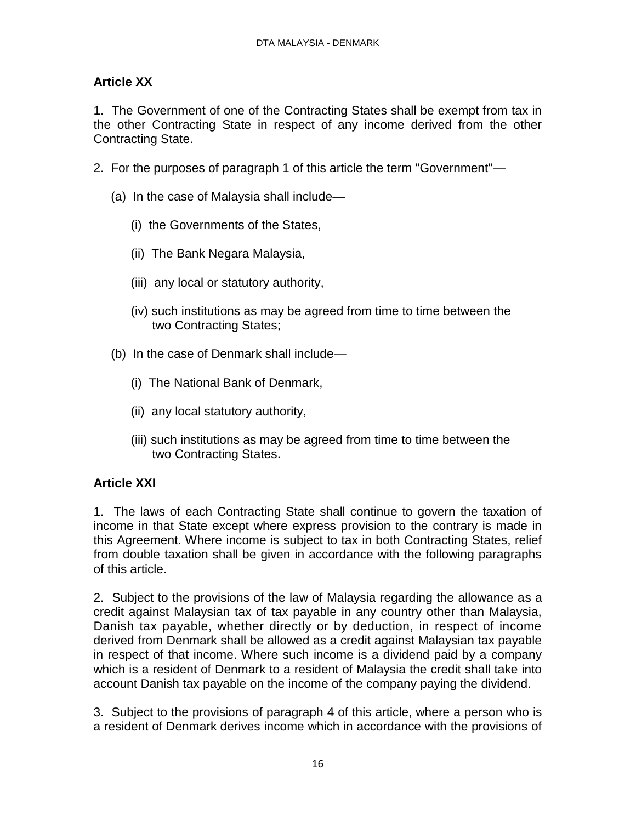# **Article XX**

1. The Government of one of the Contracting States shall be exempt from tax in the other Contracting State in respect of any income derived from the other Contracting State.

- 2. For the purposes of paragraph 1 of this article the term "Government"—
	- (a) In the case of Malaysia shall include—
		- (i) the Governments of the States,
		- (ii) The Bank Negara Malaysia,
		- (iii) any local or statutory authority,
		- (iv) such institutions as may be agreed from time to time between the two Contracting States;
	- (b) In the case of Denmark shall include—
		- (i) The National Bank of Denmark,
		- (ii) any local statutory authority,
		- (iii) such institutions as may be agreed from time to time between the two Contracting States.

## **Article XXI**

1. The laws of each Contracting State shall continue to govern the taxation of income in that State except where express provision to the contrary is made in this Agreement. Where income is subject to tax in both Contracting States, relief from double taxation shall be given in accordance with the following paragraphs of this article.

2. Subject to the provisions of the law of Malaysia regarding the allowance as a credit against Malaysian tax of tax payable in any country other than Malaysia, Danish tax payable, whether directly or by deduction, in respect of income derived from Denmark shall be allowed as a credit against Malaysian tax payable in respect of that income. Where such income is a dividend paid by a company which is a resident of Denmark to a resident of Malaysia the credit shall take into account Danish tax payable on the income of the company paying the dividend.

3. Subject to the provisions of paragraph 4 of this article, where a person who is a resident of Denmark derives income which in accordance with the provisions of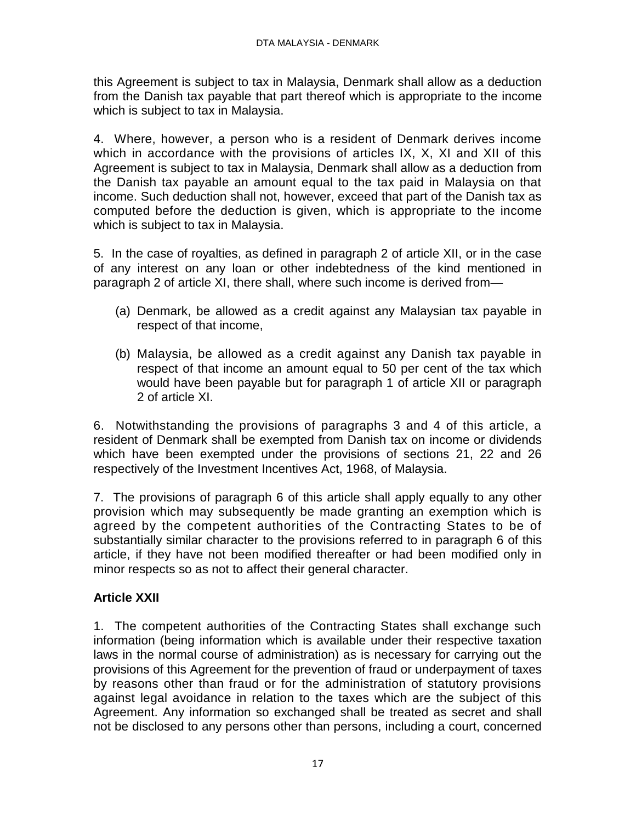this Agreement is subject to tax in Malaysia, Denmark shall allow as a deduction from the Danish tax payable that part thereof which is appropriate to the income which is subject to tax in Malaysia.

4. Where, however, a person who is a resident of Denmark derives income which in accordance with the provisions of articles IX, X, XI and XII of this Agreement is subject to tax in Malaysia, Denmark shall allow as a deduction from the Danish tax payable an amount equal to the tax paid in Malaysia on that income. Such deduction shall not, however, exceed that part of the Danish tax as computed before the deduction is given, which is appropriate to the income which is subject to tax in Malaysia.

5. In the case of royalties, as defined in paragraph 2 of article XII, or in the case of any interest on any loan or other indebtedness of the kind mentioned in paragraph 2 of article XI, there shall, where such income is derived from—

- (a) Denmark, be allowed as a credit against any Malaysian tax payable in respect of that income,
- (b) Malaysia, be allowed as a credit against any Danish tax payable in respect of that income an amount equal to 50 per cent of the tax which would have been payable but for paragraph 1 of article XII or paragraph 2 of article XI.

6. Notwithstanding the provisions of paragraphs 3 and 4 of this article, a resident of Denmark shall be exempted from Danish tax on income or dividends which have been exempted under the provisions of sections 21, 22 and 26 respectively of the Investment Incentives Act, 1968, of Malaysia.

7. The provisions of paragraph 6 of this article shall apply equally to any other provision which may subsequently be made granting an exemption which is agreed by the competent authorities of the Contracting States to be of substantially similar character to the provisions referred to in paragraph 6 of this article, if they have not been modified thereafter or had been modified only in minor respects so as not to affect their general character.

# **Article XXII**

1. The competent authorities of the Contracting States shall exchange such information (being information which is available under their respective taxation laws in the normal course of administration) as is necessary for carrying out the provisions of this Agreement for the prevention of fraud or underpayment of taxes by reasons other than fraud or for the administration of statutory provisions against legal avoidance in relation to the taxes which are the subject of this Agreement. Any information so exchanged shall be treated as secret and shall not be disclosed to any persons other than persons, including a court, concerned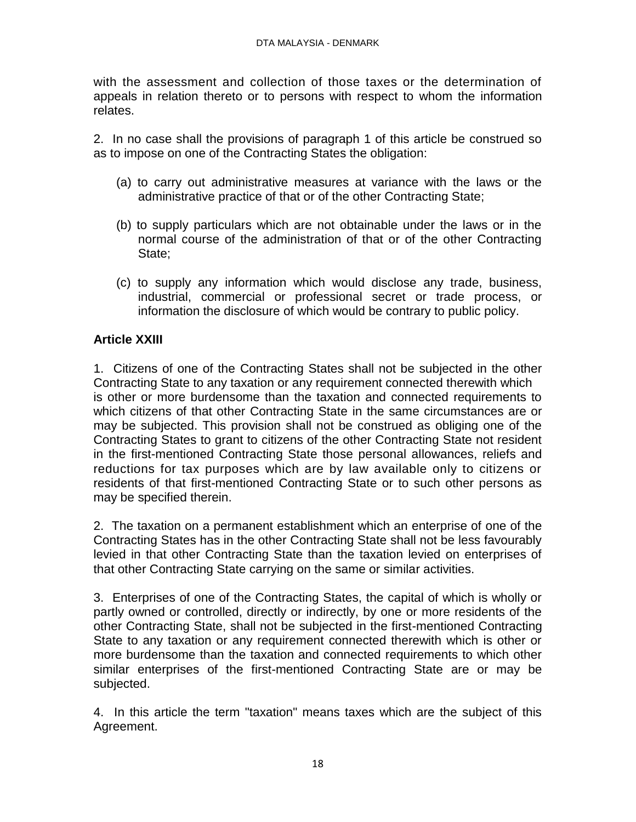with the assessment and collection of those taxes or the determination of appeals in relation thereto or to persons with respect to whom the information relates.

2. In no case shall the provisions of paragraph 1 of this article be construed so as to impose on one of the Contracting States the obligation:

- (a) to carry out administrative measures at variance with the laws or the administrative practice of that or of the other Contracting State;
- (b) to supply particulars which are not obtainable under the laws or in the normal course of the administration of that or of the other Contracting State;
- (c) to supply any information which would disclose any trade, business, industrial, commercial or professional secret or trade process, or information the disclosure of which would be contrary to public policy.

# **Article XXIII**

1. Citizens of one of the Contracting States shall not be subjected in the other Contracting State to any taxation or any requirement connected therewith which is other or more burdensome than the taxation and connected requirements to which citizens of that other Contracting State in the same circumstances are or may be subjected. This provision shall not be construed as obliging one of the Contracting States to grant to citizens of the other Contracting State not resident in the first-mentioned Contracting State those personal allowances, reliefs and reductions for tax purposes which are by law available only to citizens or residents of that first-mentioned Contracting State or to such other persons as may be specified therein.

2. The taxation on a permanent establishment which an enterprise of one of the Contracting States has in the other Contracting State shall not be less favourably levied in that other Contracting State than the taxation levied on enterprises of that other Contracting State carrying on the same or similar activities.

3. Enterprises of one of the Contracting States, the capital of which is wholly or partly owned or controlled, directly or indirectly, by one or more residents of the other Contracting State, shall not be subjected in the first-mentioned Contracting State to any taxation or any requirement connected therewith which is other or more burdensome than the taxation and connected requirements to which other similar enterprises of the first-mentioned Contracting State are or may be subjected.

4. In this article the term "taxation" means taxes which are the subject of this Agreement.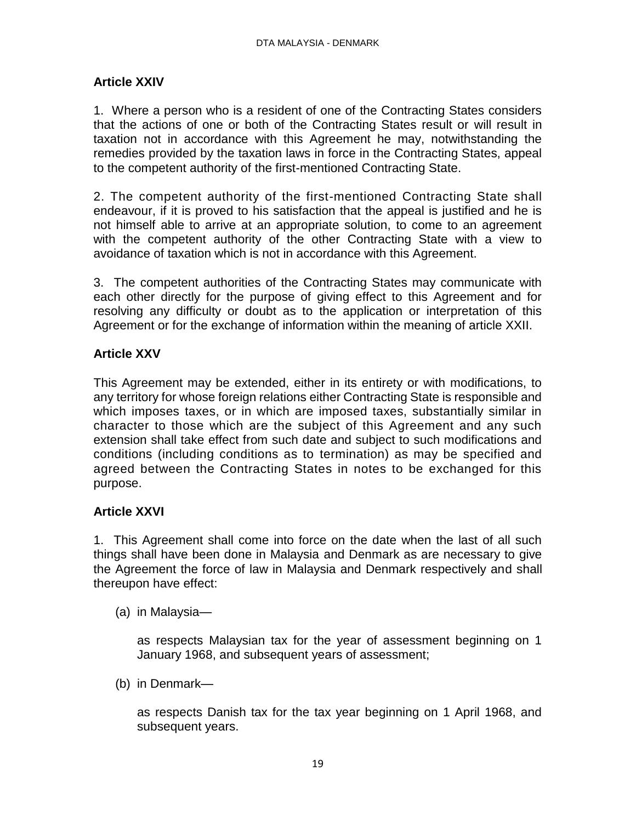# **Article XXIV**

1. Where a person who is a resident of one of the Contracting States considers that the actions of one or both of the Contracting States result or will result in taxation not in accordance with this Agreement he may, notwithstanding the remedies provided by the taxation laws in force in the Contracting States, appeal to the competent authority of the first-mentioned Contracting State.

2. The competent authority of the first-mentioned Contracting State shall endeavour, if it is proved to his satisfaction that the appeal is justified and he is not himself able to arrive at an appropriate solution, to come to an agreement with the competent authority of the other Contracting State with a view to avoidance of taxation which is not in accordance with this Agreement.

3. The competent authorities of the Contracting States may communicate with each other directly for the purpose of giving effect to this Agreement and for resolving any difficulty or doubt as to the application or interpretation of this Agreement or for the exchange of information within the meaning of article XXII.

## **Article XXV**

This Agreement may be extended, either in its entirety or with modifications, to any territory for whose foreign relations either Contracting State is responsible and which imposes taxes, or in which are imposed taxes, substantially similar in character to those which are the subject of this Agreement and any such extension shall take effect from such date and subject to such modifications and conditions (including conditions as to termination) as may be specified and agreed between the Contracting States in notes to be exchanged for this purpose.

## **Article XXVI**

1. This Agreement shall come into force on the date when the last of all such things shall have been done in Malaysia and Denmark as are necessary to give the Agreement the force of law in Malaysia and Denmark respectively and shall thereupon have effect:

(a) in Malaysia—

as respects Malaysian tax for the year of assessment beginning on 1 January 1968, and subsequent years of assessment;

(b) in Denmark—

as respects Danish tax for the tax year beginning on 1 April 1968, and subsequent years.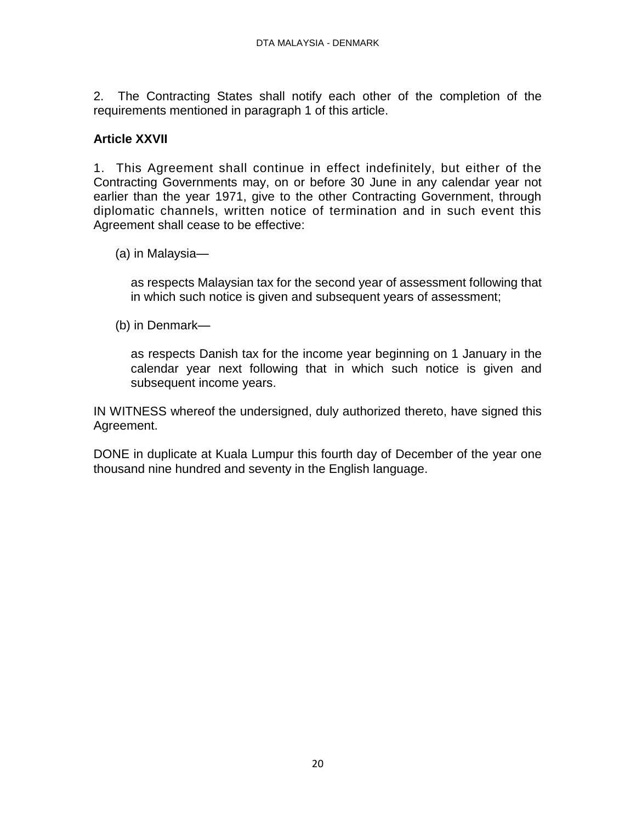2. The Contracting States shall notify each other of the completion of the requirements mentioned in paragraph 1 of this article.

## **Article XXVII**

1. This Agreement shall continue in effect indefinitely, but either of the Contracting Governments may, on or before 30 June in any calendar year not earlier than the year 1971, give to the other Contracting Government, through diplomatic channels, written notice of termination and in such event this Agreement shall cease to be effective:

(a) in Malaysia—

as respects Malaysian tax for the second year of assessment following that in which such notice is given and subsequent years of assessment;

(b) in Denmark—

as respects Danish tax for the income year beginning on 1 January in the calendar year next following that in which such notice is given and subsequent income years.

IN WITNESS whereof the undersigned, duly authorized thereto, have signed this Agreement.

DONE in duplicate at Kuala Lumpur this fourth day of December of the year one thousand nine hundred and seventy in the English language.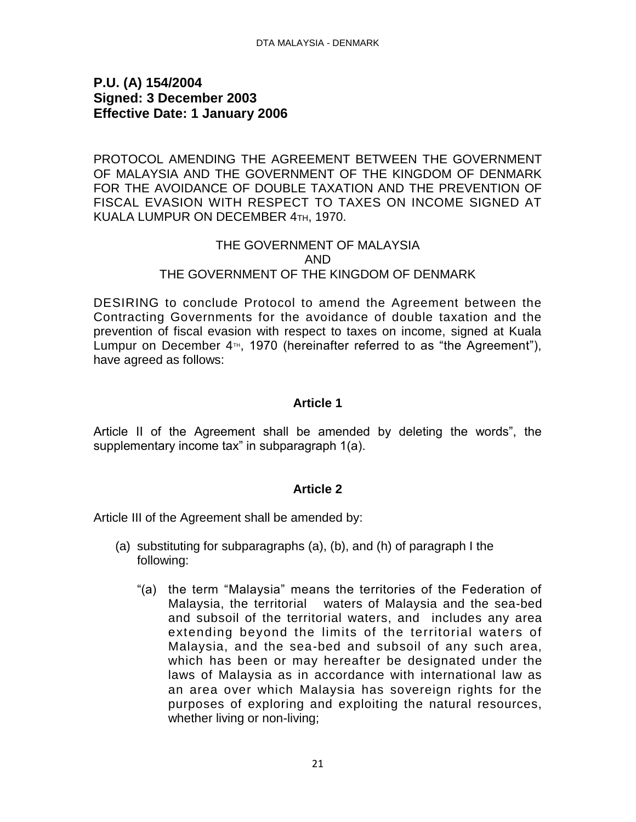## <span id="page-20-0"></span>**P.U. (A) 154/2004 Signed: 3 December 2003 Effective Date: 1 January 2006**

PROTOCOL AMENDING THE AGREEMENT BETWEEN THE GOVERNMENT OF MALAYSIA AND THE GOVERNMENT OF THE KINGDOM OF DENMARK FOR THE AVOIDANCE OF DOUBLE TAXATION AND THE PREVENTION OF FISCAL EVASION WITH RESPECT TO TAXES ON INCOME SIGNED AT KUALA LUMPUR ON DECEMBER 4TH, 1970.

### THE GOVERNMENT OF MALAYSIA AND THE GOVERNMENT OF THE KINGDOM OF DENMARK

DESIRING to conclude Protocol to amend the Agreement between the Contracting Governments for the avoidance of double taxation and the prevention of fiscal evasion with respect to taxes on income, signed at Kuala Lumpur on December  $4<sup>TH</sup>$ , 1970 (hereinafter referred to as "the Agreement"), have agreed as follows:

### **Article 1**

Article II of the Agreement shall be amended by deleting the words", the supplementary income tax" in subparagraph 1(a).

#### **Article 2**

Article III of the Agreement shall be amended by:

- (a) substituting for subparagraphs (a), (b), and (h) of paragraph I the following:
	- "(a) the term "Malaysia" means the territories of the Federation of Malaysia, the territorial waters of Malaysia and the sea-bed and subsoil of the territorial waters, and includes any area extending beyond the limits of the territorial waters of Malaysia, and the sea-bed and subsoil of any such area, which has been or may hereafter be designated under the laws of Malaysia as in accordance with international law as an area over which Malaysia has sovereign rights for the purposes of exploring and exploiting the natural resources, whether living or non-living;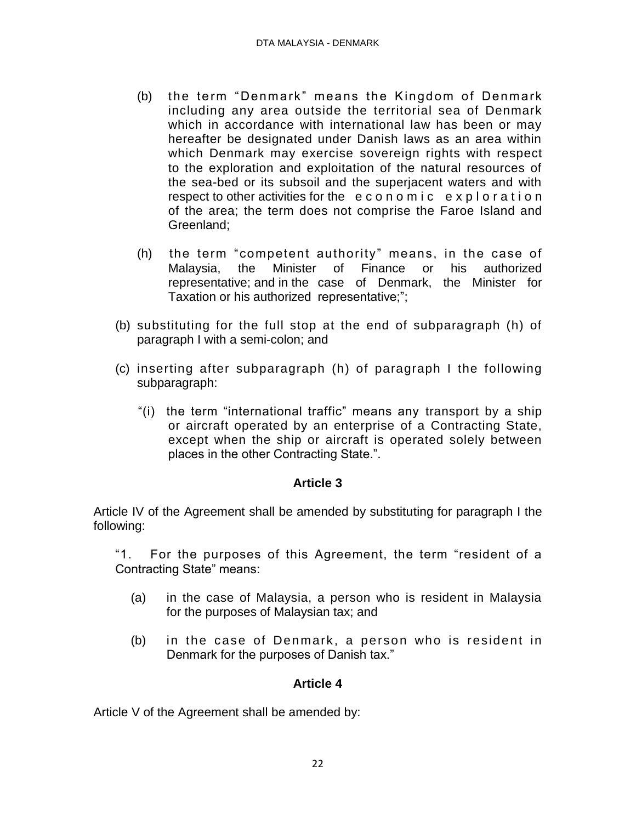- (b) the term "Denmark" means the Kingdom of Denmark including any area outside the territorial sea of Denmark which in accordance with international law has been or may hereafter be designated under Danish laws as an area within which Denmark may exercise sovereign rights with respect to the exploration and exploitation of the natural resources of the sea-bed or its subsoil and the superjacent waters and with respect to other activities for the economic exploration of the area; the term does not comprise the Faroe Island and Greenland;
- (h) the term "competent authority" means, in the case of Malaysia, the Minister of Finance or his authorized representative; and in the case of Denmark, the Minister for Taxation or his authorized representative;";
- (b) substituting for the full stop at the end of subparagraph (h) of paragraph I with a semi-colon; and
- (c) inserting after subparagraph (h) of paragraph I the following subparagraph:
	- "(i) the term "international traffic" means any transport by a ship or aircraft operated by an enterprise of a Contracting State, except when the ship or aircraft is operated solely between places in the other Contracting State.".

## **Article 3**

Article IV of the Agreement shall be amended by substituting for paragraph I the following:

"1. For the purposes of this Agreement, the term "resident of a Contracting State" means:

- (a) in the case of Malaysia, a person who is resident in Malaysia for the purposes of Malaysian tax; and
- (b) in the case of Denmark, a person who is resident in Denmark for the purposes of Danish tax."

#### **Article 4**

Article V of the Agreement shall be amended by: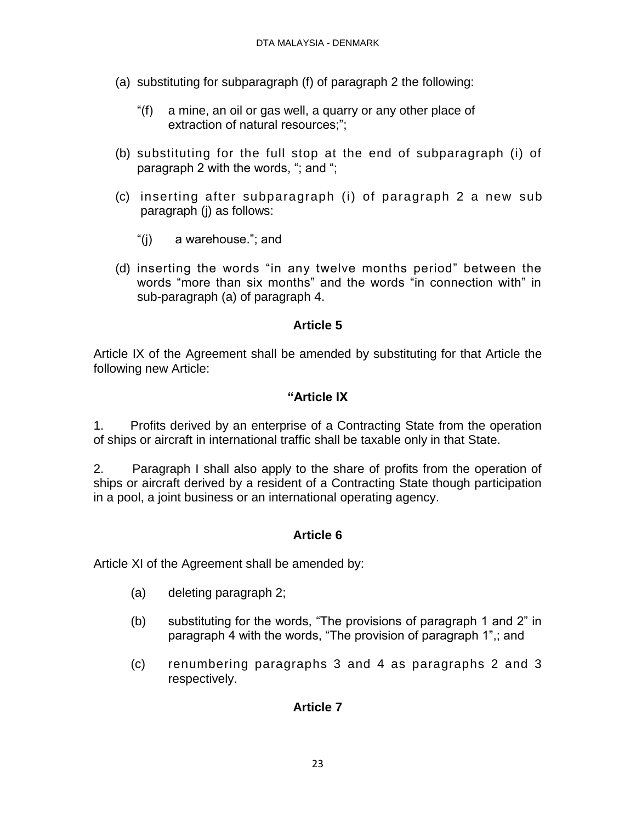- (a) substituting for subparagraph (f) of paragraph 2 the following:
	- "(f) a mine, an oil or gas well, a quarry or any other place of extraction of natural resources;";
- (b) substituting for the full stop at the end of subparagraph (i) of paragraph 2 with the words, "; and ";
- (c) inserting after subparagraph (i) of paragraph 2 a new sub paragraph (j) as follows:
	- "(j) a warehouse."; and
- (d) inserting the words "in any twelve months period" between the words "more than six months" and the words "in connection with" in sub-paragraph (a) of paragraph 4.

#### **Article 5**

Article IX of the Agreement shall be amended by substituting for that Article the following new Article:

### **"Article IX**

1. Profits derived by an enterprise of a Contracting State from the operation of ships or aircraft in international traffic shall be taxable only in that State.

2. Paragraph I shall also apply to the share of profits from the operation of ships or aircraft derived by a resident of a Contracting State though participation in a pool, a joint business or an international operating agency.

## **Article 6**

Article XI of the Agreement shall be amended by:

- (a) deleting paragraph 2;
- (b) substituting for the words, "The provisions of paragraph 1 and 2" in paragraph 4 with the words, "The provision of paragraph 1",; and
- (c) renumbering paragraphs 3 and 4 as paragraphs 2 and 3 respectively.

## **Article 7**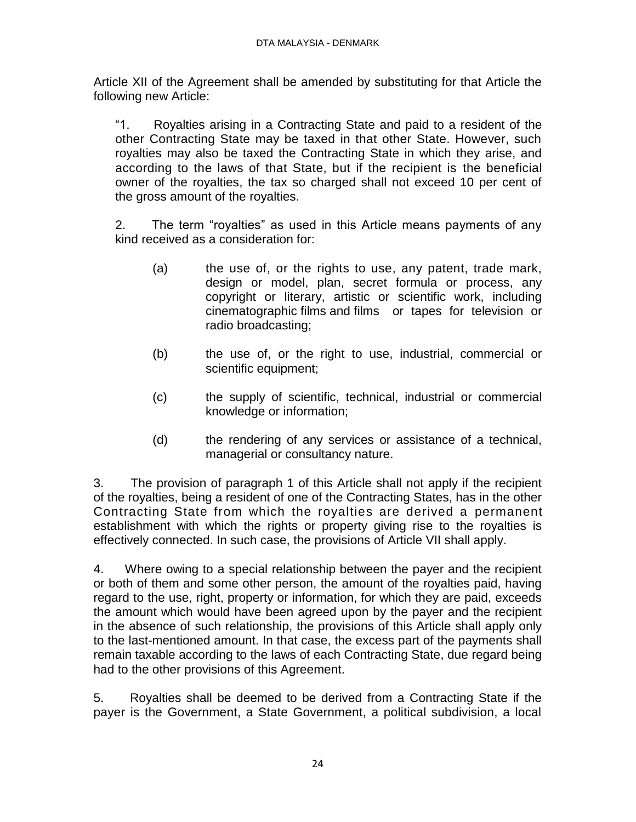Article XII of the Agreement shall be amended by substituting for that Article the following new Article:

"1. Royalties arising in a Contracting State and paid to a resident of the other Contracting State may be taxed in that other State. However, such royalties may also be taxed the Contracting State in which they arise, and according to the laws of that State, but if the recipient is the beneficial owner of the royalties, the tax so charged shall not exceed 10 per cent of the gross amount of the royalties.

2. The term "royalties" as used in this Article means payments of any kind received as a consideration for:

- (a) the use of, or the rights to use, any patent, trade mark, design or model, plan, secret formula or process, any copyright or literary, artistic or scientific work, including cinematographic films and films or tapes for television or radio broadcasting;
- (b) the use of, or the right to use, industrial, commercial or scientific equipment;
- (c) the supply of scientific, technical, industrial or commercial knowledge or information;
- (d) the rendering of any services or assistance of a technical, managerial or consultancy nature.

3. The provision of paragraph 1 of this Article shall not apply if the recipient of the royalties, being a resident of one of the Contracting States, has in the other Contracting State from which the royalties are derived a permanent establishment with which the rights or property giving rise to the royalties is effectively connected. In such case, the provisions of Article VII shall apply.

4. Where owing to a special relationship between the payer and the recipient or both of them and some other person, the amount of the royalties paid, having regard to the use, right, property or information, for which they are paid, exceeds the amount which would have been agreed upon by the payer and the recipient in the absence of such relationship, the provisions of this Article shall apply only to the last-mentioned amount. In that case, the excess part of the payments shall remain taxable according to the laws of each Contracting State, due regard being had to the other provisions of this Agreement.

5. Royalties shall be deemed to be derived from a Contracting State if the payer is the Government, a State Government, a political subdivision, a local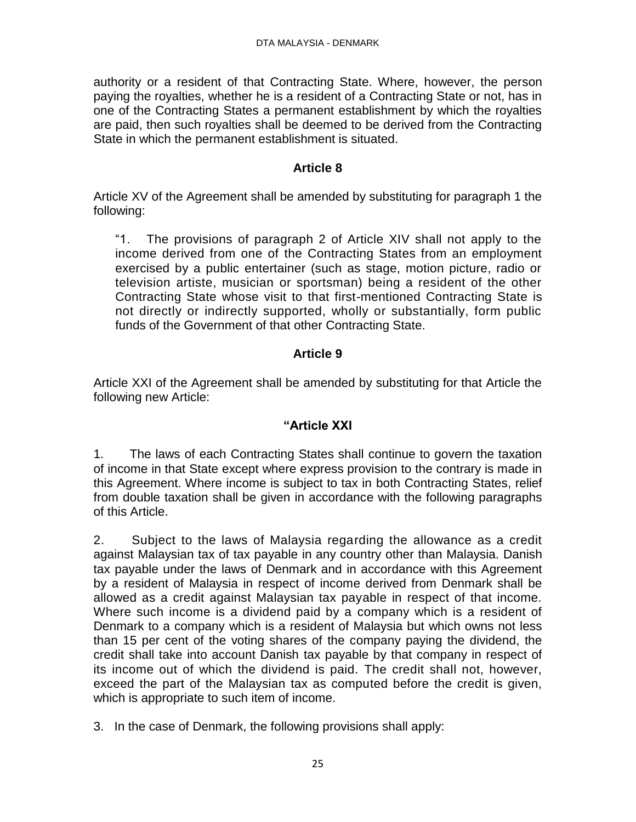authority or a resident of that Contracting State. Where, however, the person paying the royalties, whether he is a resident of a Contracting State or not, has in one of the Contracting States a permanent establishment by which the royalties are paid, then such royalties shall be deemed to be derived from the Contracting State in which the permanent establishment is situated.

### **Article 8**

Article XV of the Agreement shall be amended by substituting for paragraph 1 the following:

"1. The provisions of paragraph 2 of Article XIV shall not apply to the income derived from one of the Contracting States from an employment exercised by a public entertainer (such as stage, motion picture, radio or television artiste, musician or sportsman) being a resident of the other Contracting State whose visit to that first-mentioned Contracting State is not directly or indirectly supported, wholly or substantially, form public funds of the Government of that other Contracting State.

## **Article 9**

Article XXI of the Agreement shall be amended by substituting for that Article the following new Article:

## **"Article XXI**

1. The laws of each Contracting States shall continue to govern the taxation of income in that State except where express provision to the contrary is made in this Agreement. Where income is subject to tax in both Contracting States, relief from double taxation shall be given in accordance with the following paragraphs of this Article.

2. Subject to the laws of Malaysia regarding the allowance as a credit against Malaysian tax of tax payable in any country other than Malaysia. Danish tax payable under the laws of Denmark and in accordance with this Agreement by a resident of Malaysia in respect of income derived from Denmark shall be allowed as a credit against Malaysian tax payable in respect of that income. Where such income is a dividend paid by a company which is a resident of Denmark to a company which is a resident of Malaysia but which owns not less than 15 per cent of the voting shares of the company paying the dividend, the credit shall take into account Danish tax payable by that company in respect of its income out of which the dividend is paid. The credit shall not, however, exceed the part of the Malaysian tax as computed before the credit is given, which is appropriate to such item of income.

3. In the case of Denmark, the following provisions shall apply: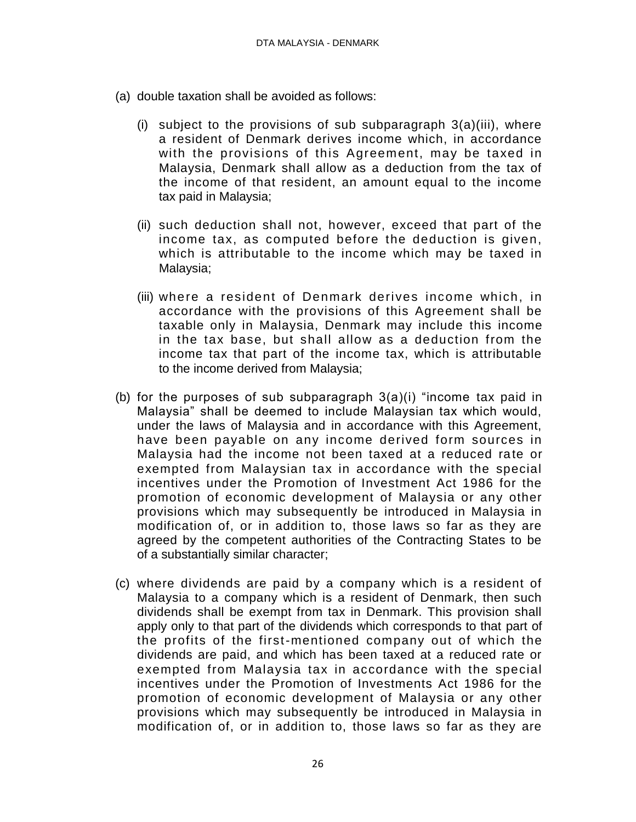- (a) double taxation shall be avoided as follows:
	- (i) subject to the provisions of sub subparagraph  $3(a)(iii)$ , where a resident of Denmark derives income which, in accordance with the provisions of this Agreement, may be taxed in Malaysia, Denmark shall allow as a deduction from the tax of the income of that resident, an amount equal to the income tax paid in Malaysia;
	- (ii) such deduction shall not, however, exceed that part of the income tax, as computed before the deduction is given, which is attributable to the income which may be taxed in Malaysia;
	- (iii) where a resident of Denmark derives income which, in accordance with the provisions of this Agreement shall be taxable only in Malaysia, Denmark may include this income in the tax base, but shall allow as a deduction from the income tax that part of the income tax, which is attributable to the income derived from Malaysia;
- (b) for the purposes of sub subparagraph  $3(a)(i)$  "income tax paid in Malaysia" shall be deemed to include Malaysian tax which would, under the laws of Malaysia and in accordance with this Agreement, have been payable on any income derived form sources in Malaysia had the income not been taxed at a reduced rate or exempted from Malaysian tax in accordance with the special incentives under the Promotion of Investment Act 1986 for the promotion of economic development of Malaysia or any other provisions which may subsequently be introduced in Malaysia in modification of, or in addition to, those laws so far as they are agreed by the competent authorities of the Contracting States to be of a substantially similar character;
- (c) where dividends are paid by a company which is a resident of Malaysia to a company which is a resident of Denmark, then such dividends shall be exempt from tax in Denmark. This provision shall apply only to that part of the dividends which corresponds to that part of the profits of the first-mentioned company out of which the dividends are paid, and which has been taxed at a reduced rate or exempted from Malaysia tax in accordance with the special incentives under the Promotion of Investments Act 1986 for the promotion of economic development of Malaysia or any other provisions which may subsequently be introduced in Malaysia in modification of, or in addition to, those laws so far as they are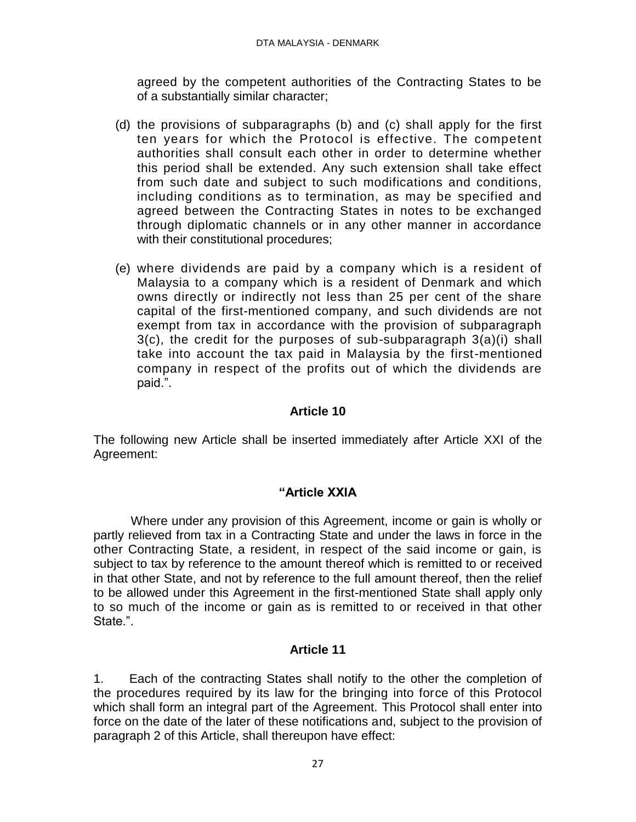agreed by the competent authorities of the Contracting States to be of a substantially similar character;

- (d) the provisions of subparagraphs (b) and (c) shall apply for the first ten years for which the Protocol is effective. The competent authorities shall consult each other in order to determine whether this period shall be extended. Any such extension shall take effect from such date and subject to such modifications and conditions, including conditions as to termination, as may be specified and agreed between the Contracting States in notes to be exchanged through diplomatic channels or in any other manner in accordance with their constitutional procedures;
- (e) where dividends are paid by a company which is a resident of Malaysia to a company which is a resident of Denmark and which owns directly or indirectly not less than 25 per cent of the share capital of the first-mentioned company, and such dividends are not exempt from tax in accordance with the provision of subparagraph 3(c), the credit for the purposes of sub-subparagraph 3(a)(i) shall take into account the tax paid in Malaysia by the first-mentioned company in respect of the profits out of which the dividends are paid.".

## **Article 10**

The following new Article shall be inserted immediately after Article XXI of the Agreement:

## **"Article XXIA**

Where under any provision of this Agreement, income or gain is wholly or partly relieved from tax in a Contracting State and under the laws in force in the other Contracting State, a resident, in respect of the said income or gain, is subject to tax by reference to the amount thereof which is remitted to or received in that other State, and not by reference to the full amount thereof, then the relief to be allowed under this Agreement in the first-mentioned State shall apply only to so much of the income or gain as is remitted to or received in that other State.".

## **Article 11**

1. Each of the contracting States shall notify to the other the completion of the procedures required by its law for the bringing into force of this Protocol which shall form an integral part of the Agreement. This Protocol shall enter into force on the date of the later of these notifications and, subject to the provision of paragraph 2 of this Article, shall thereupon have effect: